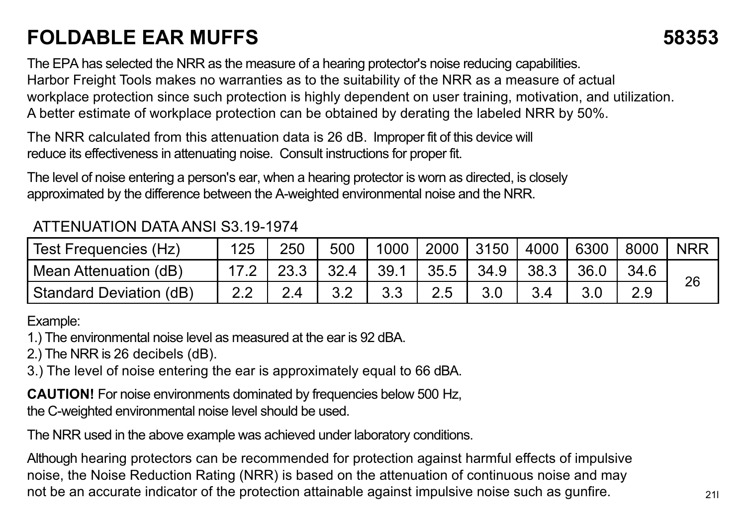## **FOLDABLE EAR MUFFS 58353**

The EPA has selected the NRR as the measure of a hearing protector's noise reducing capabilities. Harbor Freight Tools makes no warranties as to the suitability of the NRR as a measure of actual workplace protection since such protection is highly dependent on user training, motivation, and utilization. A better estimate of workplace protection can be obtained by derating the labeled NRR by 50%.

The NRR calculated from this attenuation data is 26 dB. Improper fit of this device will reduce its effectiveness in attenuating noise. Consult instructions for proper fit.

The level of noise entering a person's ear, when a hearing protector is worn as directed, is closely approximated by the difference between the A-weighted environmental noise and the NRR.

## ATTENUATION DATA ANSI S3.19-1974

| Test Frequencies (Hz)   | 125 | 250 | 500  |      |      | 1000 2000 3150 | 4000 6300 |      | 8000 | <b>NRR</b> |
|-------------------------|-----|-----|------|------|------|----------------|-----------|------|------|------------|
| Mean Attenuation (dB)   |     |     | 32.4 | 39.1 | 35.5 | 34.9           | 38.3      | 36.0 |      | 26         |
| Standard Deviation (dB) |     |     |      |      |      |                |           |      |      |            |

Example:

1.) The environmental noise level as measured at the ear is 92 dBA.

2.) The NRR is 26 decibels (dB).

3.) The level of noise entering the ear is approximately equal to 66 dBA.

**CAUTION!** For noise environments dominated by frequencies below 500 Hz, the C-weighted environmental noise level should be used.

The NRR used in the above example was achieved under laboratory conditions.

Although hearing protectors can be recommended for protection against harmful effects of impulsive noise, the Noise Reduction Rating (NRR) is based on the attenuation of continuous noise and may not be an accurate indicator of the protection attainable against impulsive noise such as gunfire.